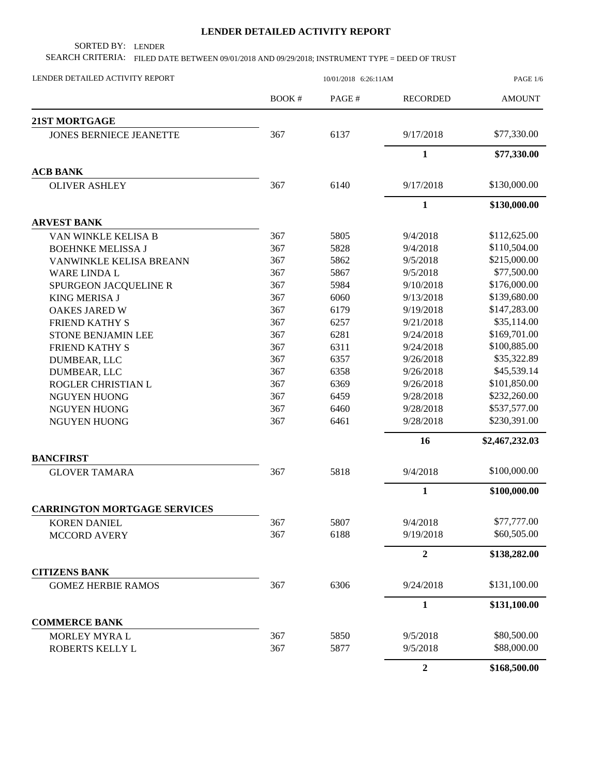## **LENDER DETAILED ACTIVITY REPORT**

SORTED BY: LENDER

SEARCH CRITERIA: FILED DATE BETWEEN 09/01/2018 AND 09/29/2018; INSTRUMENT TYPE = DEED OF TRUST

| LENDER DETAILED ACTIVITY REPORT     | 10/01/2018 6:26:11AM |       |                  | <b>PAGE 1/6</b> |  |
|-------------------------------------|----------------------|-------|------------------|-----------------|--|
|                                     | <b>BOOK#</b>         | PAGE# | <b>RECORDED</b>  | <b>AMOUNT</b>   |  |
| <b>21ST MORTGAGE</b>                |                      |       |                  |                 |  |
| <b>JONES BERNIECE JEANETTE</b>      | 367                  | 6137  | 9/17/2018        | \$77,330.00     |  |
|                                     |                      |       | $\mathbf{1}$     | \$77,330.00     |  |
| <b>ACB BANK</b>                     |                      |       |                  |                 |  |
| <b>OLIVER ASHLEY</b>                | 367                  | 6140  | 9/17/2018        | \$130,000.00    |  |
|                                     |                      |       | $\mathbf{1}$     | \$130,000.00    |  |
| <b>ARVEST BANK</b>                  |                      |       |                  |                 |  |
| VAN WINKLE KELISA B                 | 367                  | 5805  | 9/4/2018         | \$112,625.00    |  |
| <b>BOEHNKE MELISSA J</b>            | 367                  | 5828  | 9/4/2018         | \$110,504.00    |  |
| VANWINKLE KELISA BREANN             | 367                  | 5862  | 9/5/2018         | \$215,000.00    |  |
| WARE LINDA L                        | 367                  | 5867  | 9/5/2018         | \$77,500.00     |  |
| SPURGEON JACQUELINE R               | 367                  | 5984  | 9/10/2018        | \$176,000.00    |  |
| <b>KING MERISA J</b>                | 367                  | 6060  | 9/13/2018        | \$139,680.00    |  |
| <b>OAKES JARED W</b>                | 367                  | 6179  | 9/19/2018        | \$147,283.00    |  |
| <b>FRIEND KATHY S</b>               | 367                  | 6257  | 9/21/2018        | \$35,114.00     |  |
| <b>STONE BENJAMIN LEE</b>           | 367                  | 6281  | 9/24/2018        | \$169,701.00    |  |
| FRIEND KATHY S                      | 367                  | 6311  | 9/24/2018        | \$100,885.00    |  |
| DUMBEAR, LLC                        | 367                  | 6357  | 9/26/2018        | \$35,322.89     |  |
| DUMBEAR, LLC                        | 367                  | 6358  | 9/26/2018        | \$45,539.14     |  |
| ROGLER CHRISTIAN L                  | 367                  | 6369  | 9/26/2018        | \$101,850.00    |  |
| <b>NGUYEN HUONG</b>                 | 367                  | 6459  | 9/28/2018        | \$232,260.00    |  |
| <b>NGUYEN HUONG</b>                 | 367                  | 6460  | 9/28/2018        | \$537,577.00    |  |
| <b>NGUYEN HUONG</b>                 | 367                  | 6461  | 9/28/2018        | \$230,391.00    |  |
|                                     |                      |       | 16               | \$2,467,232.03  |  |
| <b>BANCFIRST</b>                    |                      |       |                  |                 |  |
| <b>GLOVER TAMARA</b>                | 367                  | 5818  | 9/4/2018         | \$100,000.00    |  |
|                                     |                      |       | $\mathbf{1}$     | \$100,000.00    |  |
| <b>CARRINGTON MORTGAGE SERVICES</b> |                      |       |                  |                 |  |
| <b>KOREN DANIEL</b>                 | 367                  | 5807  | 9/4/2018         | \$77,777.00     |  |
| <b>MCCORD AVERY</b>                 | 367                  | 6188  | 9/19/2018        | \$60,505.00     |  |
|                                     |                      |       | $\overline{2}$   | \$138,282.00    |  |
| <b>CITIZENS BANK</b>                |                      |       |                  |                 |  |
| <b>GOMEZ HERBIE RAMOS</b>           | 367                  | 6306  | 9/24/2018        | \$131,100.00    |  |
|                                     |                      |       | $\mathbf{1}$     | \$131,100.00    |  |
| <b>COMMERCE BANK</b>                |                      |       |                  |                 |  |
| MORLEY MYRAL                        | 367                  | 5850  | 9/5/2018         | \$80,500.00     |  |
| ROBERTS KELLY L                     | 367                  | 5877  | 9/5/2018         | \$88,000.00     |  |
|                                     |                      |       | $\boldsymbol{2}$ | \$168,500.00    |  |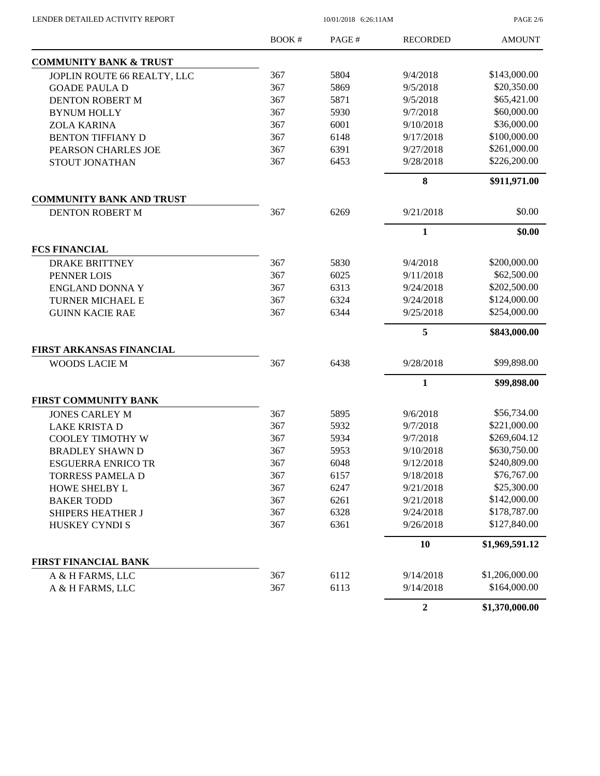$10/01/2018$  6:26:11AM

PAGE 2/6

|                                   | <b>BOOK#</b> | PAGE# | <b>RECORDED</b>  | <b>AMOUNT</b>  |
|-----------------------------------|--------------|-------|------------------|----------------|
| <b>COMMUNITY BANK &amp; TRUST</b> |              |       |                  |                |
| JOPLIN ROUTE 66 REALTY, LLC       | 367          | 5804  | 9/4/2018         | \$143,000.00   |
| <b>GOADE PAULA D</b>              | 367          | 5869  | 9/5/2018         | \$20,350.00    |
| DENTON ROBERT M                   | 367          | 5871  | 9/5/2018         | \$65,421.00    |
| <b>BYNUM HOLLY</b>                | 367          | 5930  | 9/7/2018         | \$60,000.00    |
| <b>ZOLA KARINA</b>                | 367          | 6001  | 9/10/2018        | \$36,000.00    |
| <b>BENTON TIFFIANY D</b>          | 367          | 6148  | 9/17/2018        | \$100,000.00   |
| PEARSON CHARLES JOE               | 367          | 6391  | 9/27/2018        | \$261,000.00   |
| STOUT JONATHAN                    | 367          | 6453  | 9/28/2018        | \$226,200.00   |
|                                   |              |       | $\bf{8}$         | \$911,971.00   |
| <b>COMMUNITY BANK AND TRUST</b>   |              |       |                  |                |
| DENTON ROBERT M                   | 367          | 6269  | 9/21/2018        | \$0.00         |
|                                   |              |       | $\mathbf{1}$     | \$0.00         |
| <b>FCS FINANCIAL</b>              |              |       |                  |                |
| <b>DRAKE BRITTNEY</b>             | 367          | 5830  | 9/4/2018         | \$200,000.00   |
| PENNER LOIS                       | 367          | 6025  | 9/11/2018        | \$62,500.00    |
| <b>ENGLAND DONNA Y</b>            | 367          | 6313  | 9/24/2018        | \$202,500.00   |
| TURNER MICHAEL E                  | 367          | 6324  | 9/24/2018        | \$124,000.00   |
| <b>GUINN KACIE RAE</b>            | 367          | 6344  | 9/25/2018        | \$254,000.00   |
|                                   |              |       | 5                | \$843,000.00   |
| <b>FIRST ARKANSAS FINANCIAL</b>   |              |       |                  |                |
| <b>WOODS LACIE M</b>              | 367          | 6438  | 9/28/2018        | \$99,898.00    |
|                                   |              |       | $\mathbf{1}$     | \$99,898.00    |
| <b>FIRST COMMUNITY BANK</b>       |              |       |                  |                |
| <b>JONES CARLEY M</b>             | 367          | 5895  | 9/6/2018         | \$56,734.00    |
| <b>LAKE KRISTA D</b>              | 367          | 5932  | 9/7/2018         | \$221,000.00   |
| <b>COOLEY TIMOTHY W</b>           | 367          | 5934  | 9/7/2018         | \$269,604.12   |
| <b>BRADLEY SHAWN D</b>            | 367          | 5953  | 9/10/2018        | \$630,750.00   |
| <b>ESGUERRA ENRICO TR</b>         | 367          | 6048  | 9/12/2018        | \$240,809.00   |
| <b>TORRESS PAMELA D</b>           | 367          | 6157  | 9/18/2018        | \$76,767.00    |
| HOWE SHELBY L                     | 367          | 6247  | 9/21/2018        | \$25,300.00    |
| <b>BAKER TODD</b>                 | 367          | 6261  | 9/21/2018        | \$142,000.00   |
| SHIPERS HEATHER J                 | 367          | 6328  | 9/24/2018        | \$178,787.00   |
| <b>HUSKEY CYNDIS</b>              | 367          | 6361  | 9/26/2018        | \$127,840.00   |
|                                   |              |       | 10               | \$1,969,591.12 |
| <b>FIRST FINANCIAL BANK</b>       |              |       |                  |                |
| A & H FARMS, LLC                  | 367          | 6112  | 9/14/2018        | \$1,206,000.00 |
| A & H FARMS, LLC                  | 367          | 6113  | 9/14/2018        | \$164,000.00   |
|                                   |              |       | $\boldsymbol{2}$ | \$1,370,000.00 |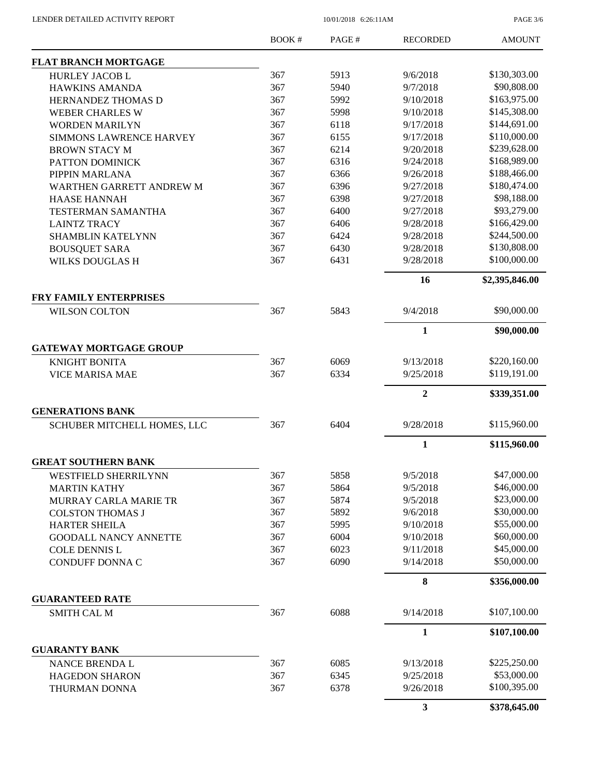PAGE 3/6

|                                                       | BOOK# | PAGE# | <b>RECORDED</b>         | <b>AMOUNT</b>  |
|-------------------------------------------------------|-------|-------|-------------------------|----------------|
| <b>FLAT BRANCH MORTGAGE</b>                           |       |       |                         |                |
| <b>HURLEY JACOB L</b>                                 | 367   | 5913  | 9/6/2018                | \$130,303.00   |
| <b>HAWKINS AMANDA</b>                                 | 367   | 5940  | 9/7/2018                | \$90,808.00    |
| HERNANDEZ THOMAS D                                    | 367   | 5992  | 9/10/2018               | \$163,975.00   |
| <b>WEBER CHARLES W</b>                                | 367   | 5998  | 9/10/2018               | \$145,308.00   |
| <b>WORDEN MARILYN</b>                                 | 367   | 6118  | 9/17/2018               | \$144,691.00   |
| <b>SIMMONS LAWRENCE HARVEY</b>                        | 367   | 6155  | 9/17/2018               | \$110,000.00   |
| <b>BROWN STACY M</b>                                  | 367   | 6214  | 9/20/2018               | \$239,628.00   |
| PATTON DOMINICK                                       | 367   | 6316  | 9/24/2018               | \$168,989.00   |
| PIPPIN MARLANA                                        | 367   | 6366  | 9/26/2018               | \$188,466.00   |
| WARTHEN GARRETT ANDREW M                              | 367   | 6396  | 9/27/2018               | \$180,474.00   |
| <b>HAASE HANNAH</b>                                   | 367   | 6398  | 9/27/2018               | \$98,188.00    |
| <b>TESTERMAN SAMANTHA</b>                             | 367   | 6400  | 9/27/2018               | \$93,279.00    |
| <b>LAINTZ TRACY</b>                                   | 367   | 6406  | 9/28/2018               | \$166,429.00   |
| <b>SHAMBLIN KATELYNN</b>                              | 367   | 6424  | 9/28/2018               | \$244,500.00   |
| <b>BOUSQUET SARA</b>                                  | 367   | 6430  | 9/28/2018               | \$130,808.00   |
| <b>WILKS DOUGLAS H</b>                                | 367   | 6431  | 9/28/2018               | \$100,000.00   |
|                                                       |       |       |                         |                |
|                                                       |       |       | 16                      | \$2,395,846.00 |
| <b>FRY FAMILY ENTERPRISES</b><br><b>WILSON COLTON</b> | 367   | 5843  | 9/4/2018                | \$90,000.00    |
|                                                       |       |       |                         |                |
|                                                       |       |       | 1                       | \$90,000.00    |
| <b>GATEWAY MORTGAGE GROUP</b>                         |       |       |                         |                |
| <b>KNIGHT BONITA</b>                                  | 367   | 6069  | 9/13/2018               | \$220,160.00   |
| <b>VICE MARISA MAE</b>                                | 367   | 6334  | 9/25/2018               | \$119,191.00   |
|                                                       |       |       | $\overline{2}$          | \$339,351.00   |
| <b>GENERATIONS BANK</b>                               |       |       |                         |                |
| SCHUBER MITCHELL HOMES, LLC                           | 367   | 6404  | 9/28/2018               | \$115,960.00   |
|                                                       |       |       | $\mathbf{1}$            | \$115,960.00   |
| <b>GREAT SOUTHERN BANK</b>                            |       |       |                         |                |
| WESTFIELD SHERRILYNN                                  | 367   | 5858  | 9/5/2018                | \$47,000.00    |
| <b>MARTIN KATHY</b>                                   | 367   | 5864  | 9/5/2018                | \$46,000.00    |
| MURRAY CARLA MARIE TR                                 | 367   | 5874  | 9/5/2018                | \$23,000.00    |
| <b>COLSTON THOMAS J</b>                               | 367   | 5892  | 9/6/2018                | \$30,000.00    |
| <b>HARTER SHEILA</b>                                  | 367   | 5995  | 9/10/2018               | \$55,000.00    |
| <b>GOODALL NANCY ANNETTE</b>                          | 367   | 6004  | 9/10/2018               | \$60,000.00    |
| <b>COLE DENNIS L</b>                                  | 367   | 6023  | 9/11/2018               | \$45,000.00    |
| CONDUFF DONNA C                                       | 367   | 6090  | 9/14/2018               | \$50,000.00    |
|                                                       |       |       | 8                       | \$356,000.00   |
| <b>GUARANTEED RATE</b>                                |       |       |                         |                |
| <b>SMITH CAL M</b>                                    | 367   | 6088  | 9/14/2018               | \$107,100.00   |
|                                                       |       |       | $\mathbf{1}$            | \$107,100.00   |
| <b>GUARANTY BANK</b>                                  |       |       |                         |                |
| <b>NANCE BRENDA L</b>                                 | 367   | 6085  | 9/13/2018               | \$225,250.00   |
| <b>HAGEDON SHARON</b>                                 | 367   | 6345  | 9/25/2018               | \$53,000.00    |
| THURMAN DONNA                                         | 367   | 6378  | 9/26/2018               | \$100,395.00   |
|                                                       |       |       | $\overline{\mathbf{3}}$ | \$378,645.00   |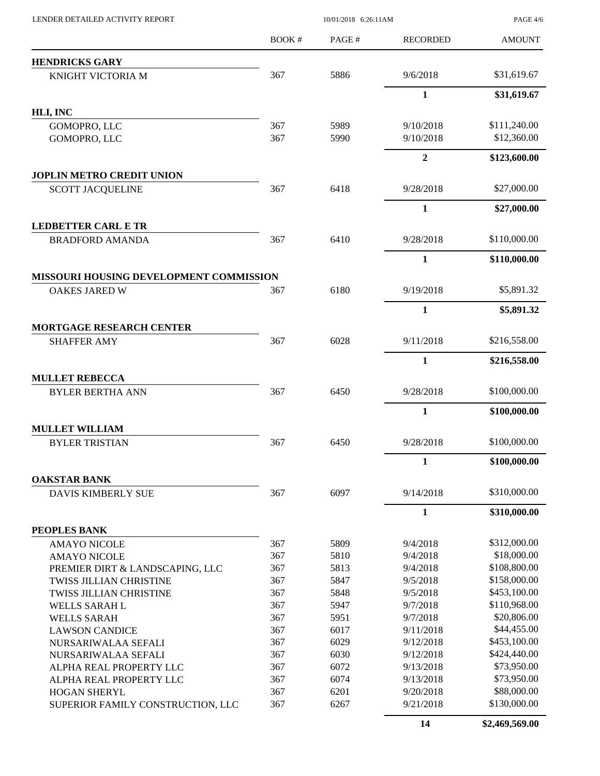| LENDER DETAILED ACTIVITY REPORT                                 | 10/01/2018 6:26:11AM |       |                  | <b>PAGE 4/6</b> |
|-----------------------------------------------------------------|----------------------|-------|------------------|-----------------|
|                                                                 | BOOK#                | PAGE# | <b>RECORDED</b>  | <b>AMOUNT</b>   |
| <b>HENDRICKS GARY</b>                                           |                      |       |                  |                 |
| KNIGHT VICTORIA M                                               | 367                  | 5886  | 9/6/2018         | \$31,619.67     |
|                                                                 |                      |       | $\mathbf{1}$     | \$31,619.67     |
| HLI, INC                                                        |                      |       |                  |                 |
| GOMOPRO, LLC                                                    | 367                  | 5989  | 9/10/2018        | \$111,240.00    |
| GOMOPRO, LLC                                                    | 367                  | 5990  | 9/10/2018        | \$12,360.00     |
|                                                                 |                      |       | $\boldsymbol{2}$ | \$123,600.00    |
| <b>JOPLIN METRO CREDIT UNION</b>                                |                      |       |                  |                 |
| <b>SCOTT JACQUELINE</b>                                         | 367                  | 6418  | 9/28/2018        | \$27,000.00     |
|                                                                 |                      |       | 1                | \$27,000.00     |
| <b>LEDBETTER CARL E TR</b>                                      |                      |       |                  |                 |
| <b>BRADFORD AMANDA</b>                                          | 367                  | 6410  | 9/28/2018        | \$110,000.00    |
|                                                                 |                      |       | $\mathbf{1}$     | \$110,000.00    |
| MISSOURI HOUSING DEVELOPMENT COMMISSION<br><b>OAKES JARED W</b> | 367                  | 6180  | 9/19/2018        | \$5,891.32      |
|                                                                 |                      |       | 1                | \$5,891.32      |
|                                                                 |                      |       |                  |                 |
| <b>MORTGAGE RESEARCH CENTER</b><br><b>SHAFFER AMY</b>           | 367                  | 6028  | 9/11/2018        | \$216,558.00    |
|                                                                 |                      |       |                  |                 |
|                                                                 |                      |       | 1                | \$216,558.00    |
| <b>MULLET REBECCA</b><br><b>BYLER BERTHA ANN</b>                | 367                  | 6450  | 9/28/2018        | \$100,000.00    |
|                                                                 |                      |       | $\mathbf{1}$     | \$100,000.00    |
| <b>MULLET WILLIAM</b>                                           |                      |       |                  |                 |
| <b>BYLER TRISTIAN</b>                                           | 367                  | 6450  | 9/28/2018        | \$100,000.00    |
|                                                                 |                      |       | 1                | \$100,000.00    |
| <b>OAKSTAR BANK</b>                                             |                      |       |                  |                 |
| <b>DAVIS KIMBERLY SUE</b>                                       | 367                  | 6097  | 9/14/2018        | \$310,000.00    |
|                                                                 |                      |       | $\mathbf{1}$     | \$310,000.00    |
| PEOPLES BANK                                                    |                      |       |                  |                 |
| <b>AMAYO NICOLE</b>                                             | 367                  | 5809  | 9/4/2018         | \$312,000.00    |
| <b>AMAYO NICOLE</b>                                             | 367                  | 5810  | 9/4/2018         | \$18,000.00     |
| PREMIER DIRT & LANDSCAPING, LLC                                 | 367                  | 5813  | 9/4/2018         | \$108,800.00    |
| TWISS JILLIAN CHRISTINE                                         | 367                  | 5847  | 9/5/2018         | \$158,000.00    |
| TWISS JILLIAN CHRISTINE                                         | 367                  | 5848  | 9/5/2018         | \$453,100.00    |
| WELLS SARAH L                                                   | 367                  | 5947  | 9/7/2018         | \$110,968.00    |
| <b>WELLS SARAH</b>                                              | 367                  | 5951  | 9/7/2018         | \$20,806.00     |
| <b>LAWSON CANDICE</b>                                           | 367                  | 6017  | 9/11/2018        | \$44,455.00     |
| NURSARIWALAA SEFALI                                             | 367                  | 6029  | 9/12/2018        | \$453,100.00    |
| NURSARIWALAA SEFALI                                             | 367                  | 6030  | 9/12/2018        | \$424,440.00    |
| ALPHA REAL PROPERTY LLC                                         | 367                  | 6072  | 9/13/2018        | \$73,950.00     |
| ALPHA REAL PROPERTY LLC                                         | 367                  | 6074  | 9/13/2018        | \$73,950.00     |
| <b>HOGAN SHERYL</b>                                             | 367                  | 6201  | 9/20/2018        | \$88,000.00     |
| SUPERIOR FAMILY CONSTRUCTION, LLC                               | 367                  | 6267  | 9/21/2018        | \$130,000.00    |

**14 \$2,469,569.00**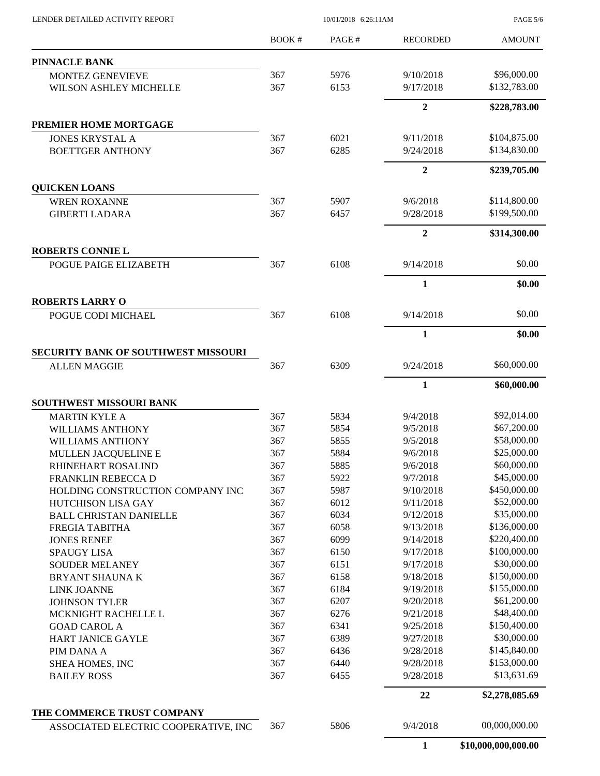| LENDER DETAILED ACTIVITY REPORT      | 10/01/2018 6:26:11AM |       |                  | <b>PAGE 5/6</b> |
|--------------------------------------|----------------------|-------|------------------|-----------------|
|                                      | BOOK#                | PAGE# | <b>RECORDED</b>  | <b>AMOUNT</b>   |
| <b>PINNACLE BANK</b>                 |                      |       |                  |                 |
| MONTEZ GENEVIEVE                     | 367                  | 5976  | 9/10/2018        | \$96,000.00     |
| WILSON ASHLEY MICHELLE               | 367                  | 6153  | 9/17/2018        | \$132,783.00    |
|                                      |                      |       | $\overline{2}$   | \$228,783.00    |
| PREMIER HOME MORTGAGE                |                      |       |                  |                 |
| <b>JONES KRYSTAL A</b>               | 367                  | 6021  | 9/11/2018        | \$104,875.00    |
| <b>BOETTGER ANTHONY</b>              | 367                  | 6285  | 9/24/2018        | \$134,830.00    |
|                                      |                      |       | $\overline{2}$   | \$239,705.00    |
| <b>QUICKEN LOANS</b>                 |                      |       |                  |                 |
| <b>WREN ROXANNE</b>                  | 367                  | 5907  | 9/6/2018         | \$114,800.00    |
| <b>GIBERTI LADARA</b>                | 367                  | 6457  | 9/28/2018        | \$199,500.00    |
|                                      |                      |       | $\boldsymbol{2}$ | \$314,300.00    |
| <b>ROBERTS CONNIE L</b>              |                      |       |                  |                 |
| POGUE PAIGE ELIZABETH                | 367                  | 6108  | 9/14/2018        | \$0.00          |
|                                      |                      |       | $\mathbf{1}$     | \$0.00          |
| <b>ROBERTS LARRY O</b>               |                      |       |                  |                 |
| POGUE CODI MICHAEL                   | 367                  | 6108  | 9/14/2018        | \$0.00          |
|                                      |                      |       | 1                | \$0.00          |
| SECURITY BANK OF SOUTHWEST MISSOURI  |                      |       |                  |                 |
| <b>ALLEN MAGGIE</b>                  | 367                  | 6309  | 9/24/2018        | \$60,000.00     |
|                                      |                      |       | 1                | \$60,000.00     |
| SOUTHWEST MISSOURI BANK              |                      |       |                  | \$92,014.00     |
| <b>MARTIN KYLE A</b>                 | 367                  | 5834  | 9/4/2018         |                 |
| <b>WILLIAMS ANTHONY</b>              | 367                  | 5854  | 9/5/2018         | \$67,200.00     |
| <b>WILLIAMS ANTHONY</b>              | 367                  | 5855  | 9/5/2018         | \$58,000.00     |
| MULLEN JACQUELINE E                  | 367                  | 5884  | 9/6/2018         | \$25,000.00     |
| RHINEHART ROSALIND                   | 367                  | 5885  | 9/6/2018         | \$60,000.00     |
| FRANKLIN REBECCA D                   | 367                  | 5922  | 9/7/2018         | \$45,000.00     |
| HOLDING CONSTRUCTION COMPANY INC     | 367                  | 5987  | 9/10/2018        | \$450,000.00    |
| HUTCHISON LISA GAY                   | 367                  | 6012  | 9/11/2018        | \$52,000.00     |
| <b>BALL CHRISTAN DANIELLE</b>        | 367                  | 6034  | 9/12/2018        | \$35,000.00     |
| FREGIA TABITHA                       | 367                  | 6058  | 9/13/2018        | \$136,000.00    |
| <b>JONES RENEE</b>                   | 367                  | 6099  | 9/14/2018        | \$220,400.00    |
| <b>SPAUGY LISA</b>                   | 367                  | 6150  | 9/17/2018        | \$100,000.00    |
| <b>SOUDER MELANEY</b>                | 367                  | 6151  | 9/17/2018        | \$30,000.00     |
| <b>BRYANT SHAUNA K</b>               | 367                  | 6158  | 9/18/2018        | \$150,000.00    |
| <b>LINK JOANNE</b>                   | 367                  | 6184  | 9/19/2018        | \$155,000.00    |
| <b>JOHNSON TYLER</b>                 | 367                  | 6207  | 9/20/2018        | \$61,200.00     |
| MCKNIGHT RACHELLE L                  | 367                  | 6276  | 9/21/2018        | \$48,400.00     |
| <b>GOAD CAROL A</b>                  | 367                  | 6341  | 9/25/2018        | \$150,400.00    |
| <b>HART JANICE GAYLE</b>             | 367                  | 6389  | 9/27/2018        | \$30,000.00     |
| PIM DANA A                           | 367                  | 6436  | 9/28/2018        | \$145,840.00    |
| SHEA HOMES, INC                      | 367                  | 6440  | 9/28/2018        | \$153,000.00    |
| <b>BAILEY ROSS</b>                   | 367                  | 6455  | 9/28/2018        | \$13,631.69     |
|                                      |                      |       | 22               | \$2,278,085.69  |
| THE COMMERCE TRUST COMPANY           |                      |       |                  |                 |
| ASSOCIATED ELECTRIC COOPERATIVE, INC | 367                  | 5806  | 9/4/2018         | 00,000,000.00   |
|                                      |                      |       |                  |                 |